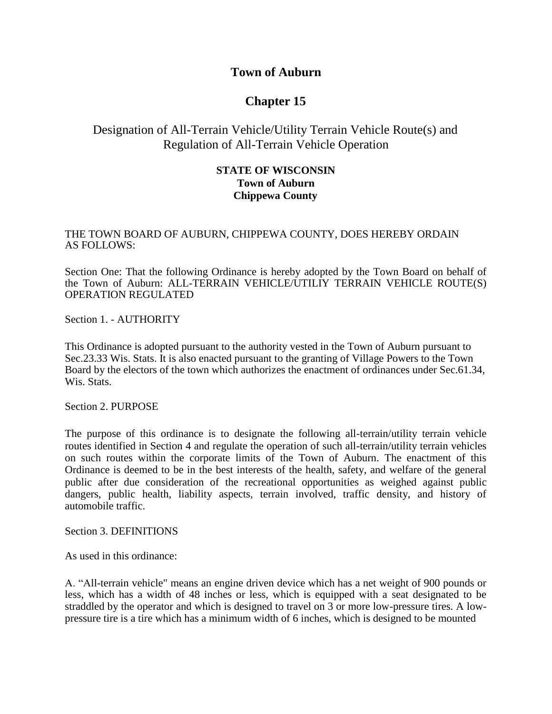### **Town of Auburn**

# **Chapter 15**

## Designation of All-Terrain Vehicle/Utility Terrain Vehicle Route(s) and Regulation of All-Terrain Vehicle Operation

### **STATE OF WISCONSIN Town of Auburn Chippewa County**

### THE TOWN BOARD OF AUBURN, CHIPPEWA COUNTY, DOES HEREBY ORDAIN AS FOLLOWS:

Section One: That the following Ordinance is hereby adopted by the Town Board on behalf of the Town of Auburn: ALL-TERRAIN VEHICLE/UTILIY TERRAIN VEHICLE ROUTE(S) OPERATION REGULATED

Section 1. - AUTHORITY

This Ordinance is adopted pursuant to the authority vested in the Town of Auburn pursuant to Sec.23.33 Wis. Stats. It is also enacted pursuant to the granting of Village Powers to the Town Board by the electors of the town which authorizes the enactment of ordinances under Sec.61.34, Wis. Stats.

Section 2. PURPOSE

The purpose of this ordinance is to designate the following all-terrain/utility terrain vehicle routes identified in Section 4 and regulate the operation of such all-terrain/utility terrain vehicles on such routes within the corporate limits of the Town of Auburn. The enactment of this Ordinance is deemed to be in the best interests of the health, safety, and welfare of the general public after due consideration of the recreational opportunities as weighed against public dangers, public health, liability aspects, terrain involved, traffic density, and history of automobile traffic.

Section 3. DEFINITIONS

As used in this ordinance:

A. "All-terrain vehicle" means an engine driven device which has a net weight of 900 pounds or less, which has a width of 48 inches or less, which is equipped with a seat designated to be straddled by the operator and which is designed to travel on 3 or more low-pressure tires. A lowpressure tire is a tire which has a minimum width of 6 inches, which is designed to be mounted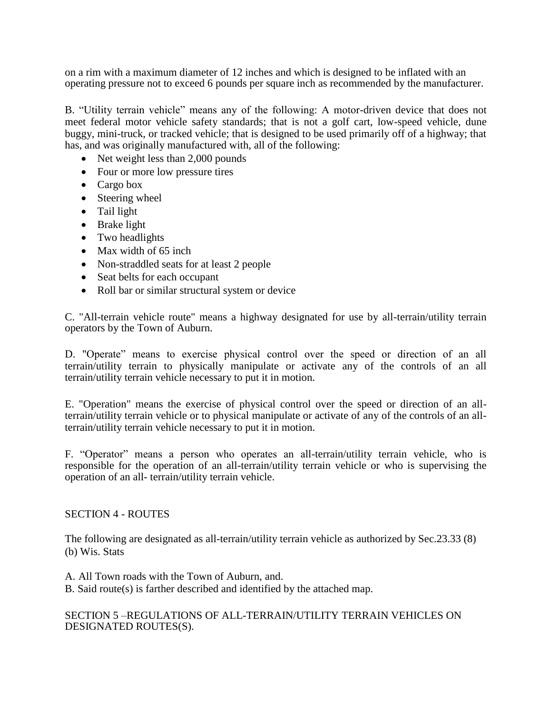on a rim with a maximum diameter of 12 inches and which is designed to be inflated with an operating pressure not to exceed 6 pounds per square inch as recommended by the manufacturer.

B. "Utility terrain vehicle" means any of the following: A motor-driven device that does not meet federal motor vehicle safety standards; that is not a golf cart, low-speed vehicle, dune buggy, mini-truck, or tracked vehicle; that is designed to be used primarily off of a highway; that has, and was originally manufactured with, all of the following:

- Net weight less than 2,000 pounds
- Four or more low pressure tires
- Cargo box
- Steering wheel
- Tail light
- Brake light
- Two headlights
- Max width of 65 inch
- Non-straddled seats for at least 2 people
- Seat belts for each occupant
- Roll bar or similar structural system or device

C. "All-terrain vehicle route" means a highway designated for use by all-terrain/utility terrain operators by the Town of Auburn.

D. "Operate" means to exercise physical control over the speed or direction of an all terrain/utility terrain to physically manipulate or activate any of the controls of an all terrain/utility terrain vehicle necessary to put it in motion.

E. "Operation" means the exercise of physical control over the speed or direction of an allterrain/utility terrain vehicle or to physical manipulate or activate of any of the controls of an allterrain/utility terrain vehicle necessary to put it in motion.

F. "Operator" means a person who operates an all-terrain/utility terrain vehicle, who is responsible for the operation of an all-terrain/utility terrain vehicle or who is supervising the operation of an all- terrain/utility terrain vehicle.

#### SECTION 4 - ROUTES

The following are designated as all-terrain/utility terrain vehicle as authorized by Sec.23.33 (8) (b) Wis. Stats

A. All Town roads with the Town of Auburn, and.

B. Said route(s) is farther described and identified by the attached map.

### SECTION 5 –REGULATIONS OF ALL-TERRAIN/UTILITY TERRAIN VEHICLES ON DESIGNATED ROUTES(S).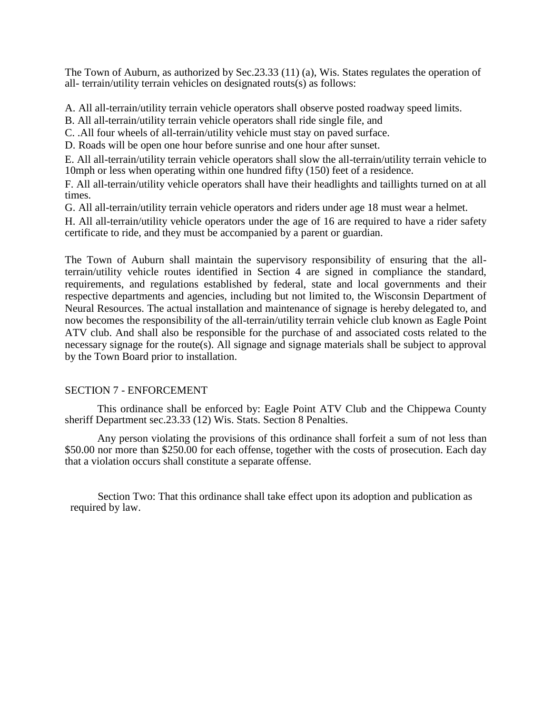The Town of Auburn, as authorized by Sec.23.33 (11) (a), Wis. States regulates the operation of all- terrain/utility terrain vehicles on designated routs(s) as follows:

A. All all-terrain/utility terrain vehicle operators shall observe posted roadway speed limits.

B. All all-terrain/utility terrain vehicle operators shall ride single file, and

C. .All four wheels of all-terrain/utility vehicle must stay on paved surface.

D. Roads will be open one hour before sunrise and one hour after sunset.

E. All all-terrain/utility terrain vehicle operators shall slow the all-terrain/utility terrain vehicle to 10mph or less when operating within one hundred fifty (150) feet of a residence.

F. All all-terrain/utility vehicle operators shall have their headlights and taillights turned on at all times.

G. All all-terrain/utility terrain vehicle operators and riders under age 18 must wear a helmet.

H. All all-terrain/utility vehicle operators under the age of 16 are required to have a rider safety certificate to ride, and they must be accompanied by a parent or guardian.

The Town of Auburn shall maintain the supervisory responsibility of ensuring that the allterrain/utility vehicle routes identified in Section 4 are signed in compliance the standard, requirements, and regulations established by federal, state and local governments and their respective departments and agencies, including but not limited to, the Wisconsin Department of Neural Resources. The actual installation and maintenance of signage is hereby delegated to, and now becomes the responsibility of the all-terrain/utility terrain vehicle club known as Eagle Point ATV club. And shall also be responsible for the purchase of and associated costs related to the necessary signage for the route(s). All signage and signage materials shall be subject to approval by the Town Board prior to installation.

#### SECTION 7 - ENFORCEMENT

This ordinance shall be enforced by: Eagle Point ATV Club and the Chippewa County sheriff Department sec.23.33 (12) Wis. Stats. Section 8 Penalties.

Any person violating the provisions of this ordinance shall forfeit a sum of not less than \$50.00 nor more than \$250.00 for each offense, together with the costs of prosecution. Each day that a violation occurs shall constitute a separate offense.

Section Two: That this ordinance shall take effect upon its adoption and publication as required by law.